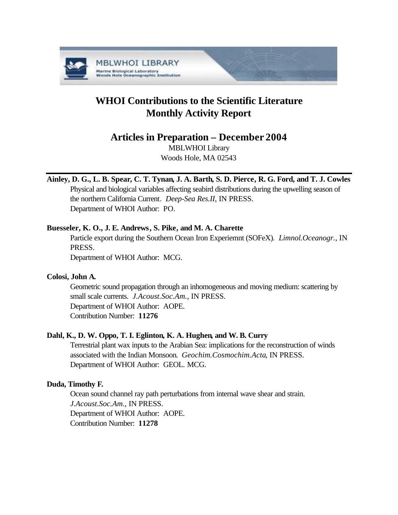

# **WHOI Contributions to the Scientific Literature Monthly Activity Report**

# **Articles in Preparation – December 2004**

MBLWHOI Library Woods Hole, MA 02543

# **Ainley, D. G., L. B. Spear, C. T. Tynan, J. A. Barth, S. D. Pierce, R. G. Ford, and T. J. Cowles**

Physical and biological variables affecting seabird distributions during the upwelling season of the northern California Current. *Deep-Sea Res.II*, IN PRESS. Department of WHOI Author: PO.

# **Buesseler, K. O., J. E. Andrews, S. Pike, and M. A. Charette**

Particle export during the Southern Ocean Iron Experiemnt (SOFeX). *Limnol.Oceanogr.*, IN PRESS.

Department of WHOI Author: MCG.

# **Colosi, John A.**

Geometric sound propagation through an inhomogeneous and moving medium: scattering by small scale currents. *J.Acoust.Soc.Am.*, IN PRESS. Department of WHOI Author: AOPE. Contribution Number: **11276**

# **Dahl, K., D. W. Oppo, T. I. Eglinton, K. A. Hughen, and W. B. Curry**

Terrestrial plant wax inputs to the Arabian Sea: implications for the reconstruction of winds associated with the Indian Monsoon. *Geochim.Cosmochim.Acta*, IN PRESS. Department of WHOI Author: GEOL. MCG.

# **Duda, Timothy F.**

Ocean sound channel ray path perturbations from internal wave shear and strain. *J.Acoust.Soc.Am.*, IN PRESS. Department of WHOI Author: AOPE. Contribution Number: **11278**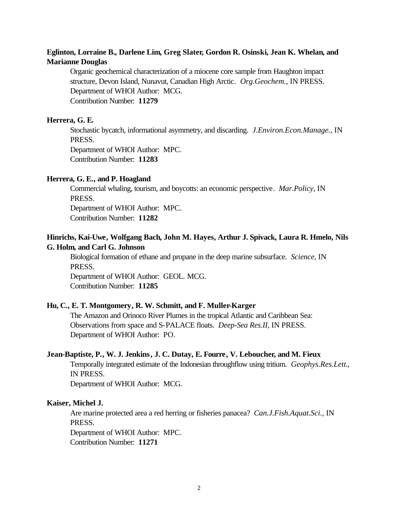# **Eglinton, Lorraine B., Darlene Lim, Greg Slater, Gordon R. Osinski, Jean K. Whelan, and Marianne Douglas**

Organic geochemical characterization of a miocene core sample from Haughton impact structure, Devon Island, Nunavut, Canadian High Arctic. *Org.Geochem.*, IN PRESS. Department of WHOI Author: MCG. Contribution Number: **11279**

#### **Herrera, G. E.**

Stochastic bycatch, informational asymmetry, and discarding. *J.Environ.Econ.Manage.*, IN PRESS.

Department of WHOI Author: MPC. Contribution Number: **11283**

#### **Herrera, G. E., and P. Hoagland**

Commercial whaling, tourism, and boycotts: an economic perspective. *Mar.Policy*, IN PRESS.

Department of WHOI Author: MPC.

Contribution Number: **11282**

## **Hinrichs, Kai-Uwe, Wolfgang Bach, John M. Hayes, Arthur J. Spivack, Laura R. Hmelo, Nils G. Holm, and Carl G. Johnson**

Biological formation of ethane and propane in the deep marine subsurface. *Science*, IN PRESS. Department of WHOI Author: GEOL. MCG.

Contribution Number: **11285**

#### **Hu, C., E. T. Montgomery, R. W. Schmitt, and F. Muller-Karger**

The Amazon and Orinoco River Plumes in the tropical Atlantic and Caribbean Sea: Observations from space and S-PALACE floats. *Deep-Sea Res.II*, IN PRESS. Department of WHOI Author: PO.

#### **Jean-Baptiste, P., W. J. Jenkins, J. C. Dutay, E. Fourre, V. Leboucher, and M. Fieux**

Temporally integrated estimate of the Indonesian throughflow using tritium. *Geophys.Res.Lett.*, IN PRESS.

Department of WHOI Author: MCG.

#### **Kaiser, Michel J.**

Are marine protected area a red herring or fisheries panacea? *Can.J.Fish.Aquat.Sci.*, IN PRESS.

Department of WHOI Author: MPC. Contribution Number: **11271**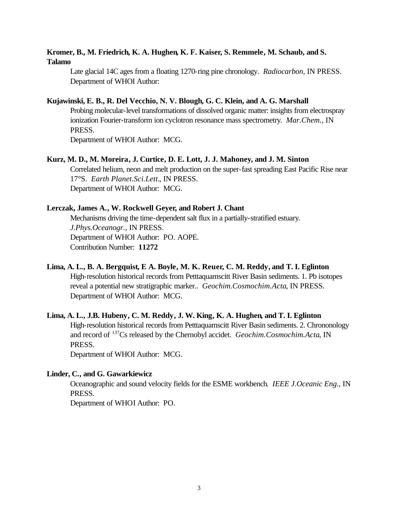### **Kromer, B., M. Friedrich, K. A. Hughen, K. F. Kaiser, S. Remmele, M. Schaub, and S. Talamo**

Late glacial 14C ages from a floating 1270-ring pine chronology. *Radiocarbon*, IN PRESS. Department of WHOI Author:

#### **Kujawinski, E. B., R. Del Vecchio, N. V. Blough, G. C. Klein, and A. G. Marshall**

Probing molecular-level transformations of dissolved organic matter: insights from electrospray ionization Fourier-transform ion cyclotron resonance mass spectrometry. *Mar.Chem.*, IN PRESS.

Department of WHOI Author: MCG.

#### **Kurz, M. D., M. Moreira, J. Curtice, D. E. Lott, J. J. Mahoney, and J. M. Sinton**

Correlated helium, neon and melt production on the super-fast spreading East Pacific Rise near 17°S. *Earth Planet.Sci.Lett.*, IN PRESS. Department of WHOI Author: MCG.

#### **Lerczak, James A., W. Rockwell Geyer, and Robert J. Chant**

Mechanisms driving the time-dependent salt flux in a partially-stratified estuary. *J.Phys.Oceanogr.*, IN PRESS. Department of WHOI Author: PO. AOPE. Contribution Number: **11272**

## **Lima, A. L., B. A. Bergquist, E A. Boyle, M. K. Reuer, C. M. Reddy, and T. I. Eglinton**

High-resolution historical records from Petttaquamscitt River Basin sediments. 1. Pb isotopes reveal a potential new stratigraphic marker.. *Geochim.Cosmochim.Acta*, IN PRESS. Department of WHOI Author: MCG.

# **Lima, A. L., J.B. Hubeny, C. M. Reddy, J. W. King, K. A. Hughen, and T. I. Eglinton** High-resolution historical records from Petttaquamscitt River Basin sediments. 2. Chrononology and record of <sup>137</sup>Cs released by the Chernobyl accidet. *Geochim.Cosmochim.Acta*, IN PRESS.

Department of WHOI Author: MCG.

#### **Linder, C., and G. Gawarkiewicz**

Oceanographic and sound velocity fields for the ESME workbench. *IEEE J.Oceanic Eng.*, IN PRESS.

Department of WHOI Author: PO.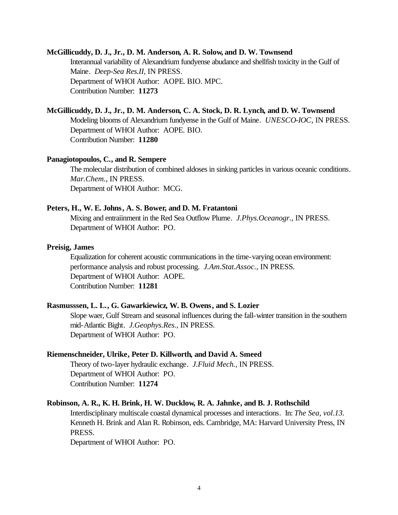#### **McGillicuddy, D. J., Jr., D. M. Anderson, A. R. Solow, and D. W. Townsend**

Interannual variability of Alexandrium fundyense abudance and shellfish toxicity in the Gulf of Maine. *Deep-Sea Res.II*, IN PRESS. Department of WHOI Author: AOPE. BIO. MPC. Contribution Number: **11273**

#### **McGillicuddy, D. J., Jr., D. M. Anderson, C. A. Stock, D. R. Lynch, and D. W. Townsend**

Modeling blooms of Alexandrium fundyense in the Gulf of Maine. *UNESCO-IOC*, IN PRESS. Department of WHOI Author: AOPE. BIO. Contribution Number: **11280**

#### **Panagiotopoulos, C., and R. Sempere**

The molecular distribution of combined aldoses in sinking particles in various oceanic conditions. *Mar.Chem.*, IN PRESS. Department of WHOI Author: MCG.

#### **Peters, H., W. E. Johns, A. S. Bower, and D. M. Fratantoni**

Mixing and entraiinment in the Red Sea Outflow Plume. *J.Phys.Oceanogr.*, IN PRESS. Department of WHOI Author: PO.

#### **Preisig, James**

Equalization for coherent acoustic communications in the time-varying ocean environment: performance analysis and robust processing. *J.Am.Stat.Assoc.*, IN PRESS. Department of WHOI Author: AOPE. Contribution Number: **11281**

#### **Rasmusssen, L. L., G. Gawarkiewicz, W. B. Owens, and S. Lozier**

Slope waer, Gulf Stream and seasonal influences during the fall-winter transition in the southern mid-Atlantic Bight. *J.Geophys.Res.*, IN PRESS. Department of WHOI Author: PO.

#### **Riemenschneider, Ulrike, Peter D. Killworth, and David A. Smeed**

Theory of two-layer hydraulic exchange. *J.Fluid Mech.*, IN PRESS. Department of WHOI Author: PO. Contribution Number: **11274**

#### **Robinson, A. R., K. H. Brink, H. W. Ducklow, R. A. Jahnke, and B. J. Rothschild**

Interdisciplinary multiscale coastal dynamical processes and interactions. In: *The Sea, vol.13.*  Kenneth H. Brink and Alan R. Robinson, eds. Cambridge, MA: Harvard University Press, IN PRESS.

Department of WHOI Author: PO.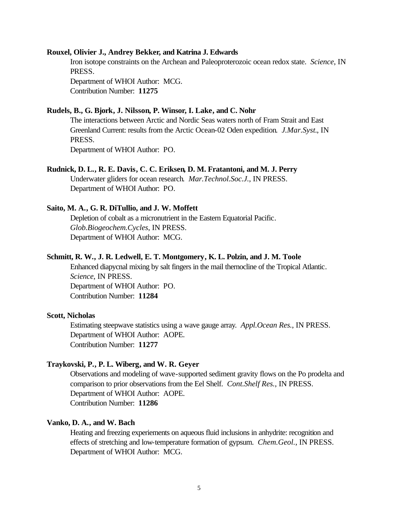#### **Rouxel, Olivier J., Andrey Bekker, and Katrina J. Edwards**

Iron isotope constraints on the Archean and Paleoproterozoic ocean redox state. *Science*, IN PRESS.

Department of WHOI Author: MCG. Contribution Number: **11275**

#### **Rudels, B., G. Bjork, J. Nilsson, P. Winsor, I. Lake, and C. Nohr**

The interactions between Arctic and Nordic Seas waters north of Fram Strait and East Greenland Current: results from the Arctic Ocean-02 Oden expedition. *J.Mar.Syst.*, IN PRESS.

Department of WHOI Author: PO.

#### **Rudnick, D. L., R. E. Davis, C. C. Eriksen, D. M. Fratantoni, and M. J. Perry**

Underwater gliders for ocean research. *Mar.Technol.Soc.J.*, IN PRESS. Department of WHOI Author: PO.

#### **Saito, M. A., G. R. DiTullio, and J. W. Moffett**

Depletion of cobalt as a micronutrient in the Eastern Equatorial Pacific. *Glob.Biogeochem.Cycles*, IN PRESS. Department of WHOI Author: MCG.

#### **Schmitt, R. W., J. R. Ledwell, E. T. Montgomery, K. L. Polzin, and J. M. Toole**

Enhanced diapycnal mixing by salt fingers in the mail thernocline of the Tropical Atlantic. *Science*, IN PRESS. Department of WHOI Author: PO. Contribution Number: **11284**

#### **Scott, Nicholas**

Estimating steepwave statistics using a wave gauge array. *Appl.Ocean Res.*, IN PRESS. Department of WHOI Author: AOPE. Contribution Number: **11277**

#### **Traykovski, P., P. L. Wiberg, and W. R. Geyer**

Observations and modeling of wave-supported sediment gravity flows on the Po prodelta and comparison to prior observations from the Eel Shelf. *Cont.Shelf Res.*, IN PRESS. Department of WHOI Author: AOPE. Contribution Number: **11286**

#### **Vanko, D. A., and W. Bach**

Heating and freezing experiements on aqueous fluid inclusions in anhydrite: recognition and effects of stretching and low-temperature formation of gypsum. *Chem.Geol.*, IN PRESS. Department of WHOI Author: MCG.